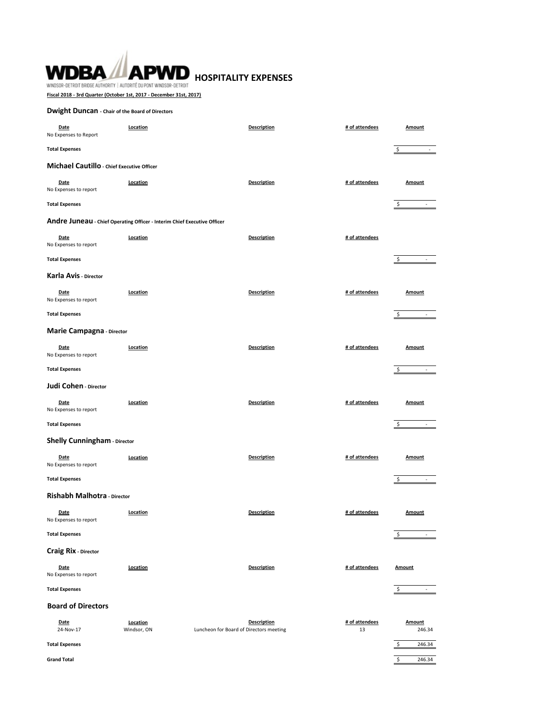# WDBA **APWD** HOSPITALITY EXPENSES WINDSOR-DETROIT BRIDGE AUTHORITY | AUTORITÉ DU PONT WINDSOR-DETROIT

**Fiscal 2018 - 3rd Quarter (October 1st, 2017 - December 31st, 2017)**

## **Dwight Duncan - Chair of the Board of Directors**

| Date<br>No Expenses to Report                                            | Location                | Description                                                   | # of attendees       | <b>Amount</b>                                             |
|--------------------------------------------------------------------------|-------------------------|---------------------------------------------------------------|----------------------|-----------------------------------------------------------|
| <b>Total Expenses</b>                                                    |                         |                                                               |                      | $\sim$ $-$<br>\$                                          |
| Michael Cautillo - Chief Executive Officer                               |                         |                                                               |                      |                                                           |
| Date<br>No Expenses to report                                            | Location                | <b>Description</b>                                            | # of attendees       | <b>Amount</b>                                             |
| <b>Total Expenses</b>                                                    |                         |                                                               |                      | \$<br>and the company                                     |
| Andre Juneau - Chief Operating Officer - Interim Chief Executive Officer |                         |                                                               |                      |                                                           |
| Date<br>No Expenses to report                                            | Location                | <b>Description</b>                                            | # of attendees       |                                                           |
| <b>Total Expenses</b>                                                    |                         |                                                               |                      | \$<br>$\sim$                                              |
| Karla Avis - Director                                                    |                         |                                                               |                      |                                                           |
| Date<br>No Expenses to report                                            | Location                | <b>Description</b>                                            | # of attendees       | <b>Amount</b>                                             |
| <b>Total Expenses</b>                                                    |                         |                                                               |                      | \$<br>$\sim$                                              |
| Marie Campagna - Director                                                |                         |                                                               |                      |                                                           |
| <b>Date</b><br>No Expenses to report                                     | Location                | <b>Description</b>                                            | # of attendees       | <b>Amount</b>                                             |
| <b>Total Expenses</b>                                                    |                         |                                                               |                      |                                                           |
| Judi Cohen - Director                                                    |                         |                                                               |                      |                                                           |
| Date<br>No Expenses to report                                            | Location                | <b>Description</b>                                            | # of attendees       | <b>Amount</b>                                             |
| <b>Total Expenses</b>                                                    |                         |                                                               |                      | \$<br>$\overline{\phantom{a}}$ . $\overline{\phantom{a}}$ |
| Shelly Cunningham - Director                                             |                         |                                                               |                      |                                                           |
| Date<br>No Expenses to report                                            | Location                | <b>Description</b>                                            | # of attendees       | <b>Amount</b>                                             |
| <b>Total Expenses</b>                                                    |                         |                                                               |                      | \$                                                        |
| Rishabh Malhotra - Director                                              |                         |                                                               |                      |                                                           |
| Date<br>No Expenses to report                                            | Location                | <b>Description</b>                                            | # of attendees       | Amount                                                    |
| <b>Total Expenses</b>                                                    |                         |                                                               |                      | \$<br>$\overline{\phantom{a}}$                            |
| <b>Craig Rix - Director</b>                                              |                         |                                                               |                      |                                                           |
| <b>Date</b><br>No Expenses to report                                     | Location                | <b>Description</b>                                            | # of attendees       | <b>Amount</b>                                             |
| <b>Total Expenses</b>                                                    |                         |                                                               |                      | \$<br>$\sim$                                              |
| <b>Board of Directors</b>                                                |                         |                                                               |                      |                                                           |
| Date<br>24-Nov-17                                                        | Location<br>Windsor, ON | <b>Description</b><br>Luncheon for Board of Directors meeting | # of attendees<br>13 | <b>Amount</b><br>246.34                                   |
| <b>Total Expenses</b>                                                    |                         |                                                               |                      | 246.34<br>\$                                              |
| <b>Grand Total</b>                                                       |                         |                                                               |                      | \$<br>246.34                                              |